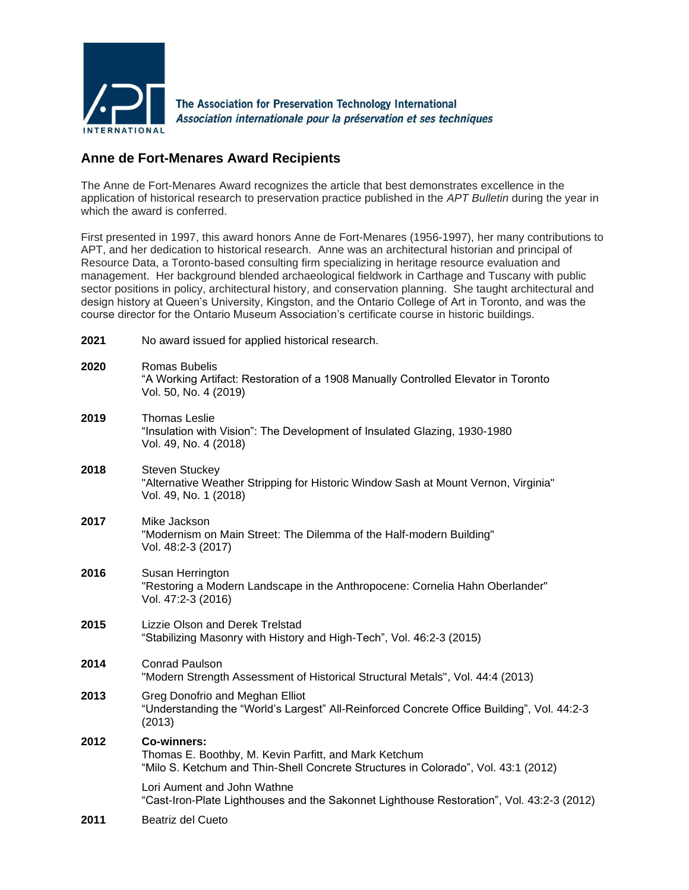

## **Anne de Fort-Menares Award Recipients**

The Anne de Fort-Menares Award recognizes the article that best demonstrates excellence in the application of historical research to preservation practice published in the *APT Bulletin* during the year in which the award is conferred.

First presented in 1997, this award honors Anne de Fort-Menares (1956-1997), her many contributions to APT, and her dedication to historical research. Anne was an architectural historian and principal of Resource Data, a Toronto-based consulting firm specializing in heritage resource evaluation and management. Her background blended archaeological fieldwork in Carthage and Tuscany with public sector positions in policy, architectural history, and conservation planning. She taught architectural and design history at Queen's University, Kingston, and the Ontario College of Art in Toronto, and was the course director for the Ontario Museum Association's certificate course in historic buildings.

| 2021 | No award issued for applied historical research.                                                                                                                  |
|------|-------------------------------------------------------------------------------------------------------------------------------------------------------------------|
| 2020 | Romas Bubelis<br>"A Working Artifact: Restoration of a 1908 Manually Controlled Elevator in Toronto<br>Vol. 50, No. 4 (2019)                                      |
| 2019 | <b>Thomas Leslie</b><br>"Insulation with Vision": The Development of Insulated Glazing, 1930-1980<br>Vol. 49, No. 4 (2018)                                        |
| 2018 | <b>Steven Stuckey</b><br>"Alternative Weather Stripping for Historic Window Sash at Mount Vernon, Virginia"<br>Vol. 49, No. 1 (2018)                              |
| 2017 | Mike Jackson<br>"Modernism on Main Street: The Dilemma of the Half-modern Building"<br>Vol. 48:2-3 (2017)                                                         |
| 2016 | Susan Herrington<br>"Restoring a Modern Landscape in the Anthropocene: Cornelia Hahn Oberlander"<br>Vol. 47:2-3 (2016)                                            |
| 2015 | <b>Lizzie Olson and Derek Trelstad</b><br>"Stabilizing Masonry with History and High-Tech", Vol. 46:2-3 (2015)                                                    |
| 2014 | <b>Conrad Paulson</b><br>"Modern Strength Assessment of Historical Structural Metals", Vol. 44:4 (2013)                                                           |
| 2013 | Greg Donofrio and Meghan Elliot<br>"Understanding the "World's Largest" All-Reinforced Concrete Office Building", Vol. 44:2-3<br>(2013)                           |
| 2012 | <b>Co-winners:</b><br>Thomas E. Boothby, M. Kevin Parfitt, and Mark Ketchum<br>"Milo S. Ketchum and Thin-Shell Concrete Structures in Colorado", Vol. 43:1 (2012) |
|      | Lori Aument and John Wathne<br>"Cast-Iron-Plate Lighthouses and the Sakonnet Lighthouse Restoration", Vol. 43:2-3 (2012)                                          |
| 2011 | Beatriz del Cueto                                                                                                                                                 |
|      |                                                                                                                                                                   |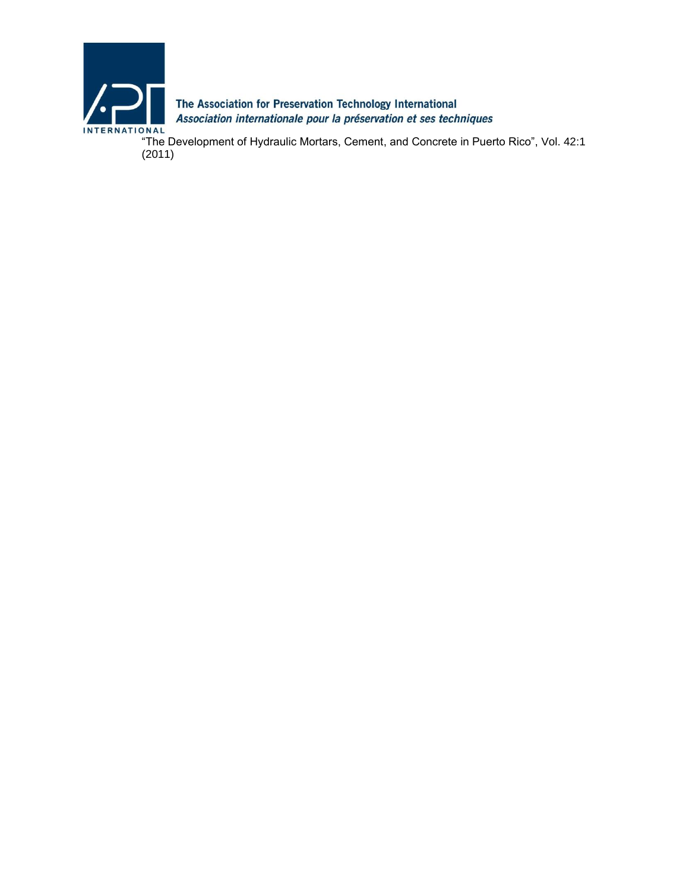

The Association for Preservation Technology International Association internationale pour la préservation et ses techniques

"The Development of Hydraulic Mortars, Cement, and Concrete in Puerto Rico", Vol. 42:1 (2011)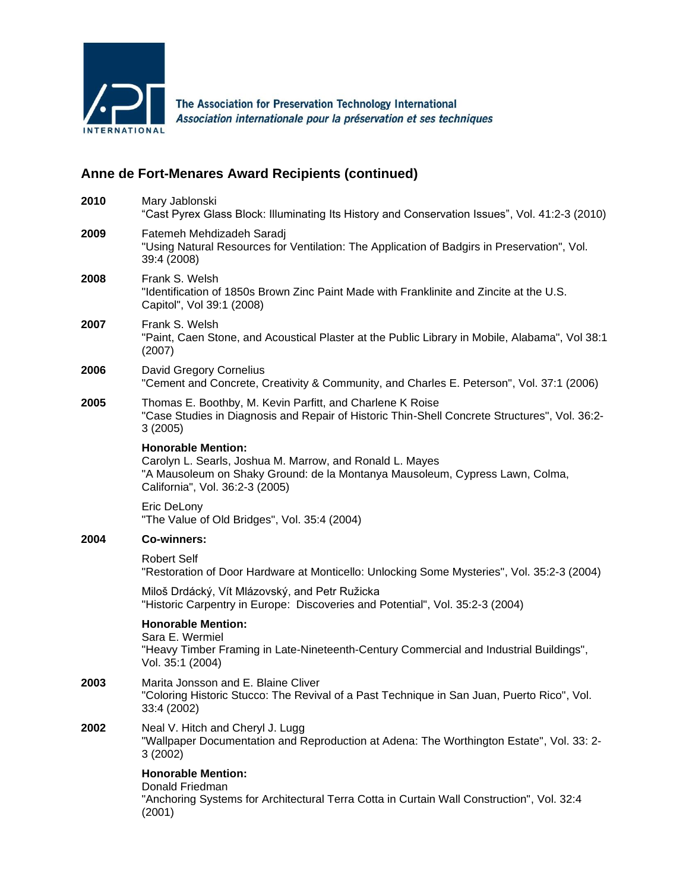

The Association for Preservation Technology International Association internationale pour la préservation et ses techniques

## **Anne de Fort-Menares Award Recipients (continued)**

| 2010 | Mary Jablonski<br>"Cast Pyrex Glass Block: Illuminating Its History and Conservation Issues", Vol. 41:2-3 (2010)                                                                                         |
|------|----------------------------------------------------------------------------------------------------------------------------------------------------------------------------------------------------------|
| 2009 | Fatemeh Mehdizadeh Saradj<br>"Using Natural Resources for Ventilation: The Application of Badgirs in Preservation", Vol.<br>39:4 (2008)                                                                  |
| 2008 | Frank S. Welsh<br>"Identification of 1850s Brown Zinc Paint Made with Franklinite and Zincite at the U.S.<br>Capitol", Vol 39:1 (2008)                                                                   |
| 2007 | Frank S. Welsh<br>"Paint, Caen Stone, and Acoustical Plaster at the Public Library in Mobile, Alabama", Vol 38:1<br>(2007)                                                                               |
| 2006 | David Gregory Cornelius<br>"Cement and Concrete, Creativity & Community, and Charles E. Peterson", Vol. 37:1 (2006)                                                                                      |
| 2005 | Thomas E. Boothby, M. Kevin Parfitt, and Charlene K Roise<br>"Case Studies in Diagnosis and Repair of Historic Thin-Shell Concrete Structures", Vol. 36:2-<br>3(2005)                                    |
|      | <b>Honorable Mention:</b><br>Carolyn L. Searls, Joshua M. Marrow, and Ronald L. Mayes<br>"A Mausoleum on Shaky Ground: de la Montanya Mausoleum, Cypress Lawn, Colma,<br>California", Vol. 36:2-3 (2005) |
|      | Eric DeLony<br>"The Value of Old Bridges", Vol. 35:4 (2004)                                                                                                                                              |
| 2004 | <b>Co-winners:</b>                                                                                                                                                                                       |
|      | <b>Robert Self</b><br>"Restoration of Door Hardware at Monticello: Unlocking Some Mysteries", Vol. 35:2-3 (2004)                                                                                         |
|      | Miloš Drdácký, Vít Mlázovský, and Petr Ružicka<br>"Historic Carpentry in Europe: Discoveries and Potential", Vol. 35:2-3 (2004)                                                                          |
|      | <b>Honorable Mention:</b><br>Sara E. Wermiel<br>"Heavy Timber Framing in Late-Nineteenth-Century Commercial and Industrial Buildings",<br>Vol. 35:1 (2004)                                               |
| 2003 | Marita Jonsson and E. Blaine Cliver<br>"Coloring Historic Stucco: The Revival of a Past Technique in San Juan, Puerto Rico", Vol.<br>33:4 (2002)                                                         |
| 2002 | Neal V. Hitch and Cheryl J. Lugg<br>"Wallpaper Documentation and Reproduction at Adena: The Worthington Estate", Vol. 33: 2-<br>3(2002)                                                                  |
|      | <b>Honorable Mention:</b><br>Donald Friedman<br>"Anchoring Systems for Architectural Terra Cotta in Curtain Wall Construction", Vol. 32:4<br>(2001)                                                      |